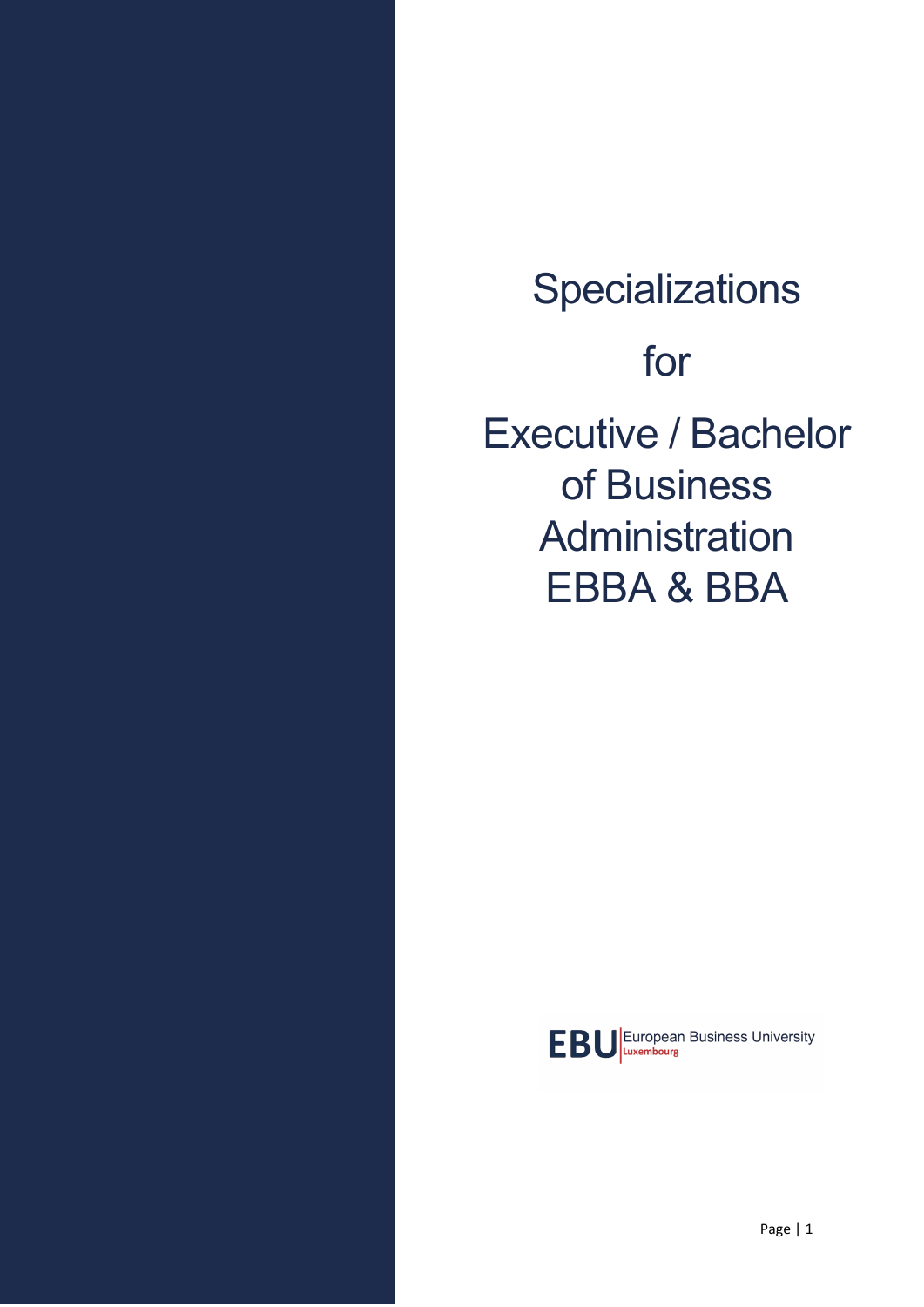**Specializations** for Executive / Bachelor of Business **Administration** EBBA & BBA

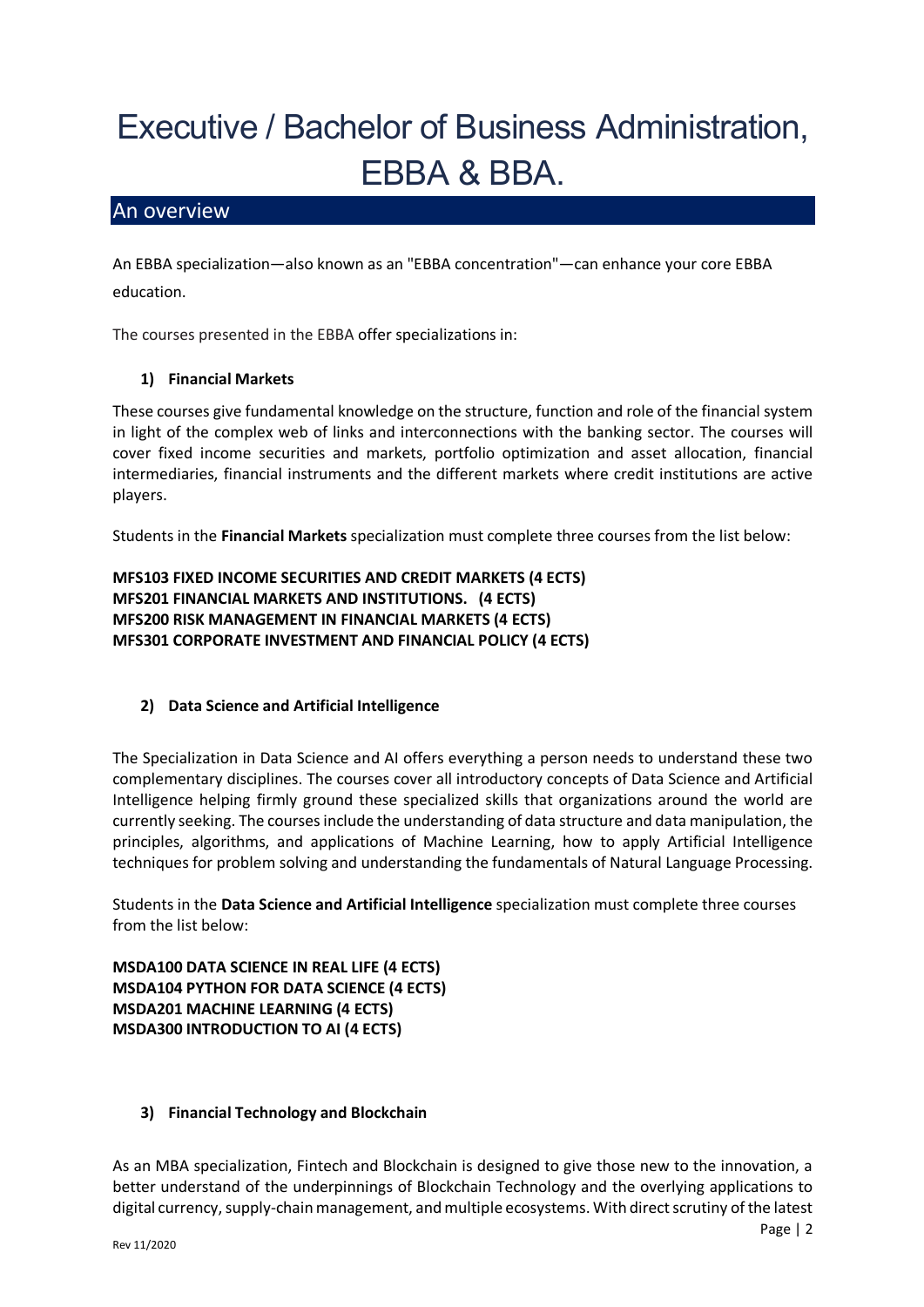# Executive / Bachelor of Business Administration, EBBA & BBA.

## An overview

An EBBA specialization—also known as an "EBBA concentration"—can enhance your core EBBA education.

The courses presented in the EBBA offer specializations in:

### **1) Financial Markets**

These courses give fundamental knowledge on the structure, function and role of the financial system in light of the complex web of links and interconnections with the banking sector. The courses will cover fixed income securities and markets, portfolio optimization and asset allocation, financial intermediaries, financial instruments and the different markets where credit institutions are active players.

Students in the **Financial Markets** specialization must complete three courses from the list below:

**MFS103 FIXED INCOME SECURITIES AND CREDIT MARKETS (4 ECTS) MFS201 FINANCIAL MARKETS AND INSTITUTIONS. (4 ECTS) MFS200 RISK MANAGEMENT IN FINANCIAL MARKETS (4 ECTS) MFS301 CORPORATE INVESTMENT AND FINANCIAL POLICY (4 ECTS)**

### **2) Data Science and Artificial Intelligence**

The Specialization in Data Science and AI offers everything a person needs to understand these two complementary disciplines. The courses cover all introductory concepts of Data Science and Artificial Intelligence helping firmly ground these specialized skills that organizations around the world are currently seeking. The coursesinclude the understanding of data structure and data manipulation, the principles, algorithms, and applications of Machine Learning, how to apply Artificial Intelligence techniques for problem solving and understanding the fundamentals of Natural Language Processing.

Students in the **Data Science and Artificial Intelligence** specialization must complete three courses from the list below:

**MSDA100 DATA SCIENCE IN REAL LIFE (4 ECTS) MSDA104 PYTHON FOR DATA SCIENCE (4 ECTS) MSDA201 MACHINE LEARNING (4 ECTS) MSDA300 INTRODUCTION TO AI (4 ECTS)**

### **3) Financial Technology and Blockchain**

As an MBA specialization, Fintech and Blockchain is designed to give those new to the innovation, a better understand of the underpinnings of Blockchain Technology and the overlying applications to digital currency, supply-chain management, and multiple ecosystems. With direct scrutiny of the latest